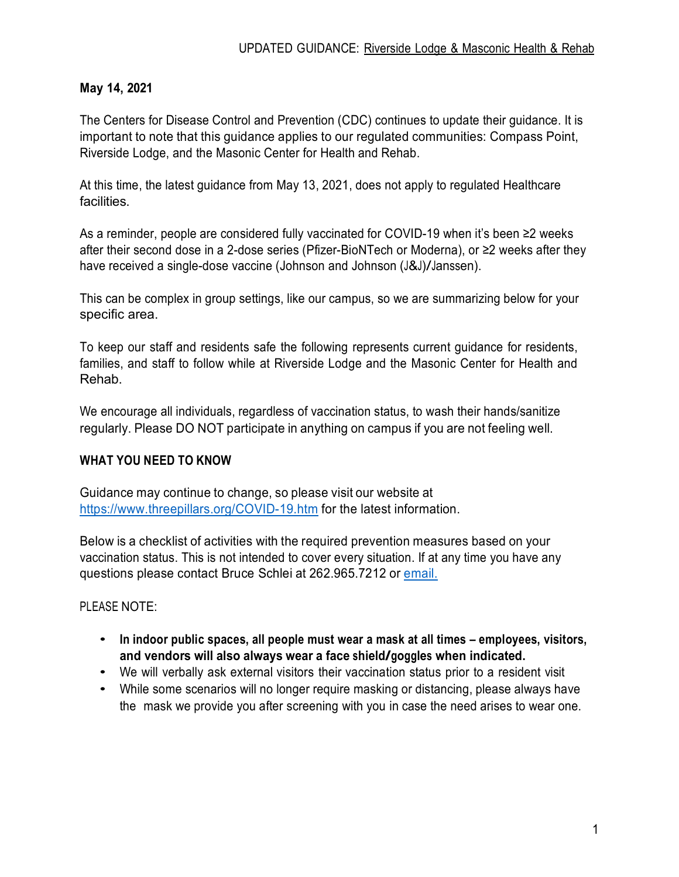## **May 14, 2021**

The Centers for Disease Control and Prevention (CDC) continues to update their guidance. It is important to note that this guidance applies to our regulated communities: Compass Point, Riverside Lodge, and the Masonic Center for Health and Rehab.

At this time, the latest guidance from May 13, 2021, does not apply to regulated Healthcare facilities.

As a reminder, people are considered fully vaccinated for COVID-19 when it's been ≥2 weeks after their second dose in a 2-dose series (Pfizer-BioNTech or Moderna), or ≥2 weeks after they have received a single-dose vaccine (Johnson and Johnson (J&J)/Janssen).

This can be complex in group settings, like our campus, so we are summarizing below for your specific area.

To keep our staff and residents safe the following represents current guidance for residents, families, and staff to follow while at Riverside Lodge and the Masonic Center for Health and Rehab.

We encourage all individuals, regardless of vaccination status, to wash their hands/sanitize regularly. Please DO NOT participate in anything on campus if you are not feeling well.

## **WHAT YOU NEED TO KNOW**

Guidance may continue to change, so please visit our website at https://www.threepillars.org/COVID-19.htm for the latest information.

Below is a checklist of activities with the required prevention measures based on your vaccination status. This is not intended to cover every situation. If at any time you have any questions please contact Bruce Schlei at 262.965.7212 or email.

#### PLEASE NOTE:

- **In indoor public spaces, all people must wear a mask at all times – employees, visitors, and vendors will also always wear <sup>a</sup> face shield/goggles when indicated.**
- We will verbally ask external visitors their vaccination status prior to <sup>a</sup> resident visit
- While some scenarios will no longer require masking or distancing, please always have the mask we provide you after screening with you in case the need arises to wear one.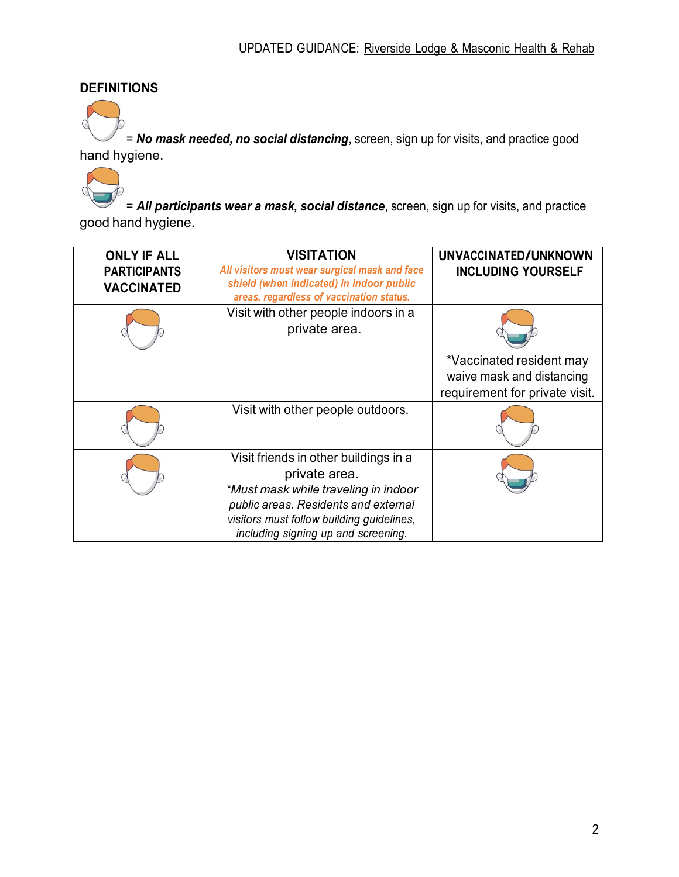# **DEFINITIONS**

= *No mask needed, no social distancing*, screen, sign up for visits, and practice good hand hygiene.

= *All participants wear a mask, social distance*, screen, sign up for visits, and practice good hand hygiene.

| <b>ONLY IF ALL</b><br><b>PARTICIPANTS</b><br><b>VACCINATED</b> | <b>VISITATION</b><br>All visitors must wear surgical mask and face<br>shield (when indicated) in indoor public<br>areas, regardless of vaccination status.                                                                 | UNVACCINATED/UNKNOWN<br><b>INCLUDING YOURSELF</b>                                       |
|----------------------------------------------------------------|----------------------------------------------------------------------------------------------------------------------------------------------------------------------------------------------------------------------------|-----------------------------------------------------------------------------------------|
|                                                                | Visit with other people indoors in a<br>private area.                                                                                                                                                                      |                                                                                         |
|                                                                |                                                                                                                                                                                                                            | *Vaccinated resident may<br>waive mask and distancing<br>requirement for private visit. |
|                                                                | Visit with other people outdoors.                                                                                                                                                                                          |                                                                                         |
|                                                                | Visit friends in other buildings in a<br>private area.<br>*Must mask while traveling in indoor<br>public areas. Residents and external<br>visitors must follow building guidelines,<br>including signing up and screening. |                                                                                         |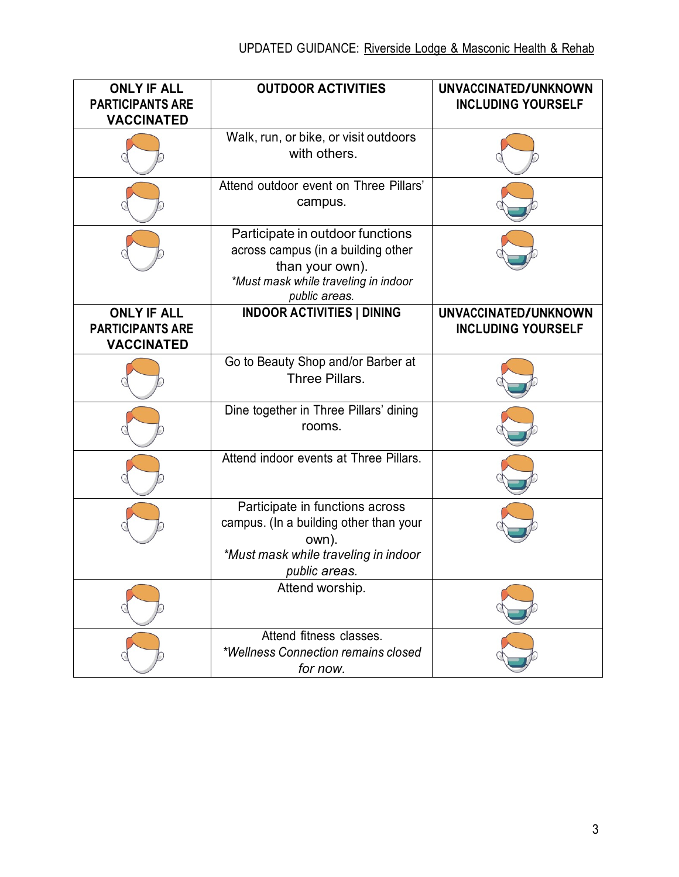| <b>ONLY IF ALL</b><br><b>PARTICIPANTS ARE</b><br><b>VACCINATED</b> | <b>OUTDOOR ACTIVITIES</b>                                                                                                                          | UNVACCINATED/UNKNOWN<br><b>INCLUDING YOURSELF</b> |
|--------------------------------------------------------------------|----------------------------------------------------------------------------------------------------------------------------------------------------|---------------------------------------------------|
|                                                                    | Walk, run, or bike, or visit outdoors<br>with others.                                                                                              |                                                   |
|                                                                    | Attend outdoor event on Three Pillars'<br>campus.                                                                                                  |                                                   |
|                                                                    | Participate in outdoor functions<br>across campus (in a building other<br>than your own).<br>*Must mask while traveling in indoor<br>public areas. |                                                   |
| <b>ONLY IF ALL</b><br><b>PARTICIPANTS ARE</b><br><b>VACCINATED</b> | <b>INDOOR ACTIVITIES   DINING</b>                                                                                                                  | UNVACCINATED/UNKNOWN<br><b>INCLUDING YOURSELF</b> |
|                                                                    | Go to Beauty Shop and/or Barber at<br>Three Pillars.                                                                                               |                                                   |
|                                                                    | Dine together in Three Pillars' dining<br>rooms.                                                                                                   |                                                   |
|                                                                    | Attend indoor events at Three Pillars.                                                                                                             |                                                   |
|                                                                    | Participate in functions across<br>campus. (In a building other than your<br>own).<br>*Must mask while traveling in indoor<br>public areas.        |                                                   |
|                                                                    | Attend worship.                                                                                                                                    |                                                   |
|                                                                    | Attend fitness classes.<br>*Wellness Connection remains closed<br>for now.                                                                         |                                                   |